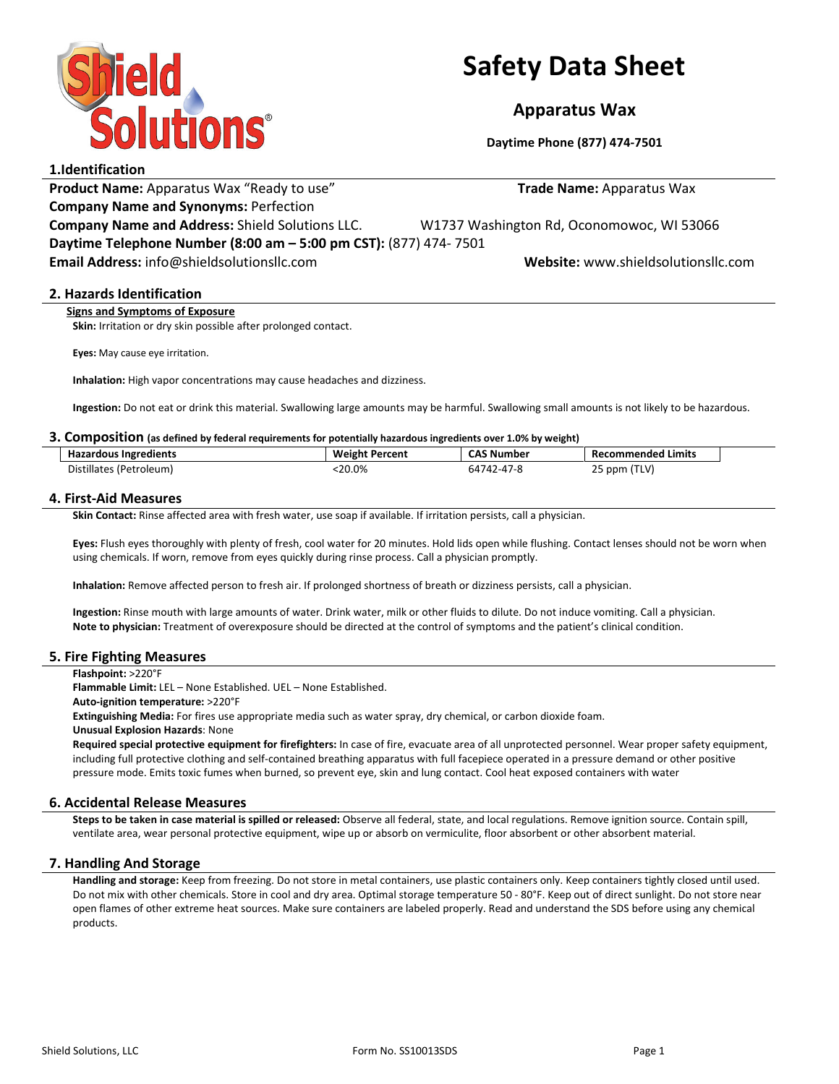

# Safety Data Sheet

# Apparatus Wax

Daytime Phone (877) 474-7501

# 1.Identification

Product Name: Apparatus Wax "Ready to use" Trade Name: Apparatus Wax Company Name and Synonyms: Perfection

Company Name and Address: Shield Solutions LLC. W1737 Washington Rd, Oconomowoc, WI 53066 Daytime Telephone Number (8:00 am – 5:00 pm CST): (877) 474- 7501

Email Address: info@shieldsolutionsllc.com Website: www.shieldsolutionsllc.com

### 2. Hazards Identification

Signs and Symptoms of Exposure

Skin: Irritation or dry skin possible after prolonged contact.

Eyes: May cause eye irritation.

Inhalation: High vapor concentrations may cause headaches and dizziness.

Ingestion: Do not eat or drink this material. Swallowing large amounts may be harmful. Swallowing small amounts is not likely to be hazardous.

#### 3. Composition (as defined by federal requirements for potentially hazardous ingredients over 1.0% by weight)

| <b>Hazardous Ingredients</b> | <b>Weight Percent</b> | <b>CAS Number</b> | <b>Recommended Limits</b>                      |
|------------------------------|-----------------------|-------------------|------------------------------------------------|
| Distillates (Petroleum)      | :20.0%                | 64742-47-8        | (TLV)<br>$\sim$ $\sim$<br>$\angle$ 5 ppm $I^+$ |

### 4. First-Aid Measures

Skin Contact: Rinse affected area with fresh water, use soap if available. If irritation persists, call a physician.

Eyes: Flush eyes thoroughly with plenty of fresh, cool water for 20 minutes. Hold lids open while flushing. Contact lenses should not be worn when using chemicals. If worn, remove from eyes quickly during rinse process. Call a physician promptly.

Inhalation: Remove affected person to fresh air. If prolonged shortness of breath or dizziness persists, call a physician.

Ingestion: Rinse mouth with large amounts of water. Drink water, milk or other fluids to dilute. Do not induce vomiting. Call a physician. Note to physician: Treatment of overexposure should be directed at the control of symptoms and the patient's clinical condition.

#### 5. Fire Fighting Measures

Flashpoint: >220°F

Flammable Limit: LEL – None Established. UEL – None Established.

Auto-ignition temperature: >220°F

Extinguishing Media: For fires use appropriate media such as water spray, dry chemical, or carbon dioxide foam.

Unusual Explosion Hazards: None

Required special protective equipment for firefighters: In case of fire, evacuate area of all unprotected personnel. Wear proper safety equipment, including full protective clothing and self-contained breathing apparatus with full facepiece operated in a pressure demand or other positive pressure mode. Emits toxic fumes when burned, so prevent eye, skin and lung contact. Cool heat exposed containers with water

# 6. Accidental Release Measures

Steps to be taken in case material is spilled or released: Observe all federal, state, and local regulations. Remove ignition source. Contain spill, ventilate area, wear personal protective equipment, wipe up or absorb on vermiculite, floor absorbent or other absorbent material.

#### 7. Handling And Storage

Handling and storage: Keep from freezing. Do not store in metal containers, use plastic containers only. Keep containers tightly closed until used. Do not mix with other chemicals. Store in cool and dry area. Optimal storage temperature 50 - 80°F. Keep out of direct sunlight. Do not store near open flames of other extreme heat sources. Make sure containers are labeled properly. Read and understand the SDS before using any chemical products.